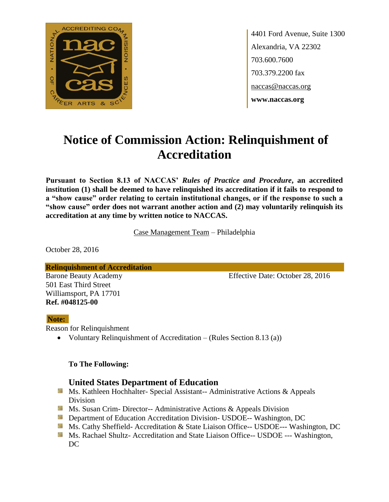

4401 Ford Avenue, Suite 1300 Alexandria, VA 22302 703.600.7600 703.379.2200 fax naccas@naccas.org **www.naccas.org**

# **Notice of Commission Action: Relinquishment of Accreditation**

**Pursuant to Section 8.13 of NACCAS'** *Rules of Practice and Procedure***, an accredited institution (1) shall be deemed to have relinquished its accreditation if it fails to respond to a "show cause" order relating to certain institutional changes, or if the response to such a "show cause" order does not warrant another action and (2) may voluntarily relinquish its accreditation at any time by written notice to NACCAS.**

Case Management Team – Philadelphia

October 28, 2016

**Relinquishment of Accreditation**

501 East Third Street Williamsport, PA 17701 **Ref. #048125-00**

Barone Beauty Academy **Effective Date: October 28, 2016** 

#### **Note:**

Reason for Relinquishment

Voluntary Relinquishment of Accreditation – (Rules Section 8.13 (a))

#### **To The Following:**

## **United States Department of Education**

- **Ms. Kathleen Hochhalter- Special Assistant-- Administrative Actions & Appeals** Division
- **Ms. Susan Crim- Director-- Administrative Actions & Appeals Division**
- **Department of Education Accreditation Division- USDOE-- Washington, DC**
- Ms. Cathy Sheffield- Accreditation & State Liaison Office-- USDOE--- Washington, DC
- **MS. Rachael Shultz- Accreditation and State Liaison Office-- USDOE --- Washington,** DC